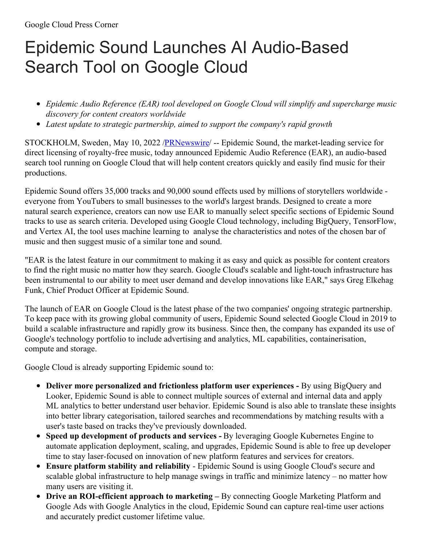## Epidemic Sound Launches AI Audio-Based Search Tool on Google Cloud

- *Epidemic Audio Reference (EAR) tool developed on Google Cloud will simplify and supercharge music discovery for content creators worldwide*
- *Latest update to strategic partnership, aimed to support the company's rapid growth*

STOCKHOLM, Sweden, May 10, 2022 [/PRNewswire](http://www.prnewswire.com/)/ -- Epidemic Sound, the market-leading service for direct licensing of royalty-free music, today announced Epidemic Audio Reference (EAR), an audio-based search tool running on Google Cloud that will help content creators quickly and easily find music for their productions.

Epidemic Sound offers 35,000 tracks and 90,000 sound effects used by millions of storytellers worldwide everyone from YouTubers to small businesses to the world's largest brands. Designed to create a more natural search experience, creators can now use EAR to manually select specific sections of Epidemic Sound tracks to use as search criteria. Developed using Google Cloud technology, including BigQuery, TensorFlow, and Vertex AI, the tool uses machine learning to analyse the characteristics and notes of the chosen bar of music and then suggest music of a similar tone and sound.

"EAR is the latest feature in our commitment to making it as easy and quick as possible for content creators to find the right music no matter how they search. Google Cloud's scalable and light-touch infrastructure has been instrumental to our ability to meet user demand and develop innovations like EAR," says Greg Elkehag Funk, Chief Product Officer at Epidemic Sound.

The launch of EAR on Google Cloud is the latest phase of the two companies' ongoing strategic partnership. To keep pace with its growing global community of users, Epidemic Sound selected Google Cloud in 2019 to build a scalable infrastructure and rapidly grow its business. Since then, the company has expanded its use of Google's technology portfolio to include advertising and analytics, ML capabilities, containerisation, compute and storage.

Google Cloud is already supporting Epidemic sound to:

- **Deliver more personalized and frictionless platform user experiences -** By using BigQuery and Looker, Epidemic Sound is able to connect multiple sources of external and internal data and apply ML analytics to better understand user behavior. Epidemic Sound is also able to translate these insights into better library categorisation, tailored searches and recommendations by matching results with a user's taste based on tracks they've previously downloaded.
- **Speed up development of products and services -** By leveraging Google Kubernetes Engine to automate application deployment, scaling, and upgrades, Epidemic Sound is able to free up developer time to stay laser-focused on innovation of new platform features and services for creators.
- **Ensure platform stability and reliability** Epidemic Sound is using Google Cloud's secure and scalable global infrastructure to help manage swings in traffic and minimize latency – no matter how many users are visiting it.
- **Drive an ROI-efficient approach to marketing –** By connecting Google Marketing Platform and Google Ads with Google Analytics in the cloud, Epidemic Sound can capture real-time user actions and accurately predict customer lifetime value.